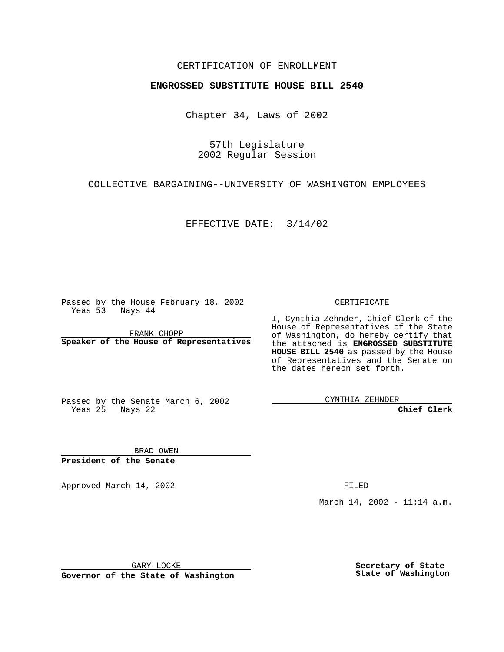## CERTIFICATION OF ENROLLMENT

## **ENGROSSED SUBSTITUTE HOUSE BILL 2540**

Chapter 34, Laws of 2002

57th Legislature 2002 Regular Session

COLLECTIVE BARGAINING--UNIVERSITY OF WASHINGTON EMPLOYEES

EFFECTIVE DATE: 3/14/02

Passed by the House February 18, 2002 Yeas 53 Nays 44

FRANK CHOPP **Speaker of the House of Representatives** CERTIFICATE

I, Cynthia Zehnder, Chief Clerk of the House of Representatives of the State of Washington, do hereby certify that the attached is **ENGROSSED SUBSTITUTE HOUSE BILL 2540** as passed by the House of Representatives and the Senate on the dates hereon set forth.

Passed by the Senate March 6, 2002 Yeas 25 Nays 22

CYNTHIA ZEHNDER

**Chief Clerk**

BRAD OWEN **President of the Senate**

Approved March 14, 2002 **FILED** 

March 14, 2002 - 11:14 a.m.

GARY LOCKE

**Governor of the State of Washington**

**Secretary of State State of Washington**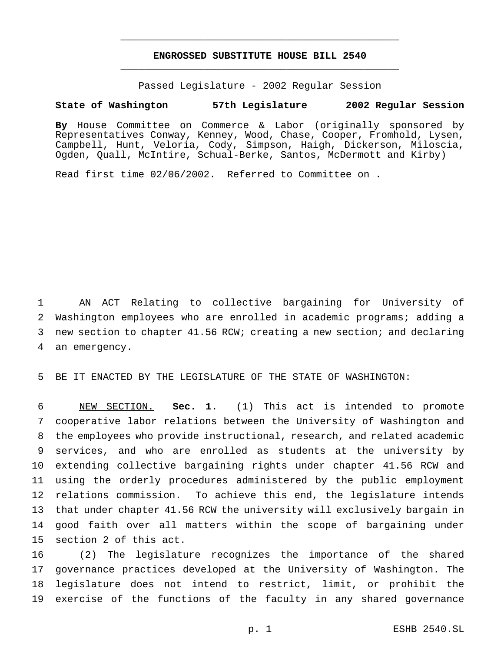## **ENGROSSED SUBSTITUTE HOUSE BILL 2540** \_\_\_\_\_\_\_\_\_\_\_\_\_\_\_\_\_\_\_\_\_\_\_\_\_\_\_\_\_\_\_\_\_\_\_\_\_\_\_\_\_\_\_\_\_\_\_

\_\_\_\_\_\_\_\_\_\_\_\_\_\_\_\_\_\_\_\_\_\_\_\_\_\_\_\_\_\_\_\_\_\_\_\_\_\_\_\_\_\_\_\_\_\_\_

Passed Legislature - 2002 Regular Session

## **State of Washington 57th Legislature 2002 Regular Session**

**By** House Committee on Commerce & Labor (originally sponsored by Representatives Conway, Kenney, Wood, Chase, Cooper, Fromhold, Lysen, Campbell, Hunt, Veloria, Cody, Simpson, Haigh, Dickerson, Miloscia, Ogden, Quall, McIntire, Schual-Berke, Santos, McDermott and Kirby)

Read first time 02/06/2002. Referred to Committee on .

 AN ACT Relating to collective bargaining for University of Washington employees who are enrolled in academic programs; adding a new section to chapter 41.56 RCW; creating a new section; and declaring an emergency.

BE IT ENACTED BY THE LEGISLATURE OF THE STATE OF WASHINGTON:

 NEW SECTION. **Sec. 1.** (1) This act is intended to promote cooperative labor relations between the University of Washington and the employees who provide instructional, research, and related academic services, and who are enrolled as students at the university by extending collective bargaining rights under chapter 41.56 RCW and using the orderly procedures administered by the public employment relations commission. To achieve this end, the legislature intends that under chapter 41.56 RCW the university will exclusively bargain in good faith over all matters within the scope of bargaining under section 2 of this act.

 (2) The legislature recognizes the importance of the shared governance practices developed at the University of Washington. The legislature does not intend to restrict, limit, or prohibit the exercise of the functions of the faculty in any shared governance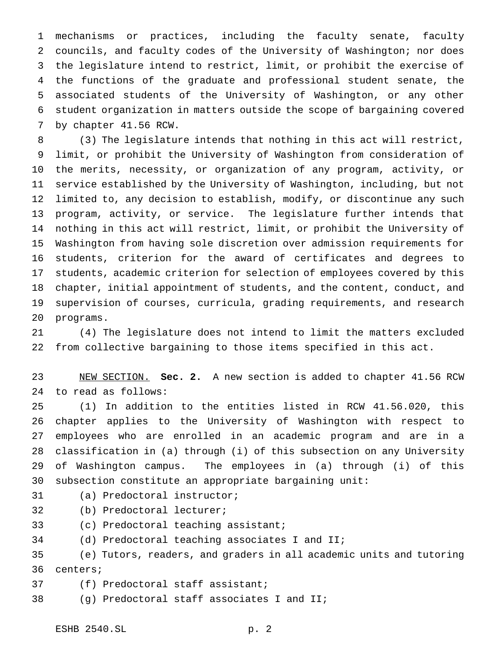mechanisms or practices, including the faculty senate, faculty councils, and faculty codes of the University of Washington; nor does the legislature intend to restrict, limit, or prohibit the exercise of the functions of the graduate and professional student senate, the associated students of the University of Washington, or any other student organization in matters outside the scope of bargaining covered by chapter 41.56 RCW.

 (3) The legislature intends that nothing in this act will restrict, limit, or prohibit the University of Washington from consideration of the merits, necessity, or organization of any program, activity, or service established by the University of Washington, including, but not limited to, any decision to establish, modify, or discontinue any such program, activity, or service. The legislature further intends that nothing in this act will restrict, limit, or prohibit the University of Washington from having sole discretion over admission requirements for students, criterion for the award of certificates and degrees to students, academic criterion for selection of employees covered by this chapter, initial appointment of students, and the content, conduct, and supervision of courses, curricula, grading requirements, and research programs.

 (4) The legislature does not intend to limit the matters excluded from collective bargaining to those items specified in this act.

 NEW SECTION. **Sec. 2.** A new section is added to chapter 41.56 RCW to read as follows:

 (1) In addition to the entities listed in RCW 41.56.020, this chapter applies to the University of Washington with respect to employees who are enrolled in an academic program and are in a classification in (a) through (i) of this subsection on any University of Washington campus. The employees in (a) through (i) of this subsection constitute an appropriate bargaining unit:

- (a) Predoctoral instructor;
- (b) Predoctoral lecturer;
- (c) Predoctoral teaching assistant;
- (d) Predoctoral teaching associates I and II;

 (e) Tutors, readers, and graders in all academic units and tutoring centers;

(f) Predoctoral staff assistant;

(g) Predoctoral staff associates I and II;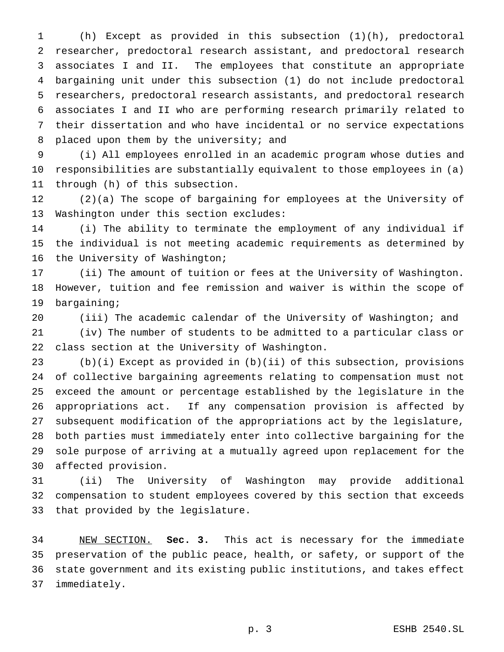(h) Except as provided in this subsection (1)(h), predoctoral researcher, predoctoral research assistant, and predoctoral research associates I and II. The employees that constitute an appropriate bargaining unit under this subsection (1) do not include predoctoral researchers, predoctoral research assistants, and predoctoral research associates I and II who are performing research primarily related to their dissertation and who have incidental or no service expectations placed upon them by the university; and

 (i) All employees enrolled in an academic program whose duties and responsibilities are substantially equivalent to those employees in (a) through (h) of this subsection.

 (2)(a) The scope of bargaining for employees at the University of Washington under this section excludes:

 (i) The ability to terminate the employment of any individual if the individual is not meeting academic requirements as determined by the University of Washington;

 (ii) The amount of tuition or fees at the University of Washington. However, tuition and fee remission and waiver is within the scope of bargaining;

 (iii) The academic calendar of the University of Washington; and (iv) The number of students to be admitted to a particular class or class section at the University of Washington.

 (b)(i) Except as provided in (b)(ii) of this subsection, provisions of collective bargaining agreements relating to compensation must not exceed the amount or percentage established by the legislature in the appropriations act. If any compensation provision is affected by subsequent modification of the appropriations act by the legislature, both parties must immediately enter into collective bargaining for the sole purpose of arriving at a mutually agreed upon replacement for the affected provision.

 (ii) The University of Washington may provide additional compensation to student employees covered by this section that exceeds that provided by the legislature.

 NEW SECTION. **Sec. 3.** This act is necessary for the immediate preservation of the public peace, health, or safety, or support of the state government and its existing public institutions, and takes effect immediately.